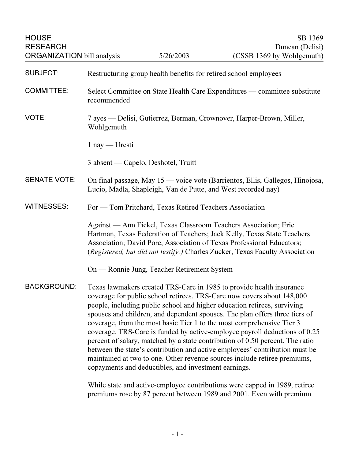HOUSE SB 1369 RESEARCH Duncan (Delisi) ORGANIZATION bill analysis 5/26/2003 (CSSB 1369 by Wohlgemuth) SUBJECT: Restructuring group health benefits for retired school employees COMMITTEE: Select Committee on State Health Care Expenditures — committee substitute recommended VOTE: 7 ayes — Delisi, Gutierrez, Berman, Crownover, Harper-Brown, Miller, Wohlgemuth 1 nay — Uresti 3 absent — Capelo, Deshotel, Truitt SENATE VOTE: On final passage, May 15 — voice vote (Barrientos, Ellis, Gallegos, Hinojosa, Lucio, Madla, Shapleigh, Van de Putte, and West recorded nay) WITNESSES: For — Tom Pritchard, Texas Retired Teachers Association Against — Ann Fickel, Texas Classroom Teachers Association; Eric Hartman, Texas Federation of Teachers; Jack Kelly, Texas State Teachers Association; David Pore, Association of Texas Professional Educators; (Registered, but did not testify:) Charles Zucker, Texas Faculty Association On — Ronnie Jung, Teacher Retirement System BACKGROUND: Texas lawmakers created TRS-Care in 1985 to provide health insurance coverage for public school retirees. TRS-Care now covers about 148,000 people, including public school and higher education retirees, surviving spouses and children, and dependent spouses. The plan offers three tiers of coverage, from the most basic Tier 1 to the most comprehensive Tier 3 coverage. TRS-Care is funded by active-employee payroll deductions of 0.25 percent of salary, matched by a state contribution of 0.50 percent. The ratio between the state's contribution and active employees' contribution must be maintained at two to one. Other revenue sources include retiree premiums, copayments and deductibles, and investment earnings.

While state and active-employee contributions were capped in 1989, retiree premiums rose by 87 percent between 1989 and 2001. Even with premium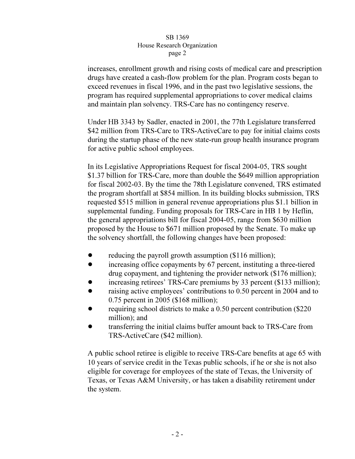## SB 1369 House Research Organization  $\frac{1}{\sqrt{1-\frac{1}{\sqrt{1-\frac{1}{\sqrt{1-\frac{1}{\sqrt{1-\frac{1}{\sqrt{1-\frac{1}{\sqrt{1-\frac{1}{\sqrt{1-\frac{1}{\sqrt{1-\frac{1}{\sqrt{1-\frac{1}{\sqrt{1-\frac{1}{\sqrt{1-\frac{1}{\sqrt{1-\frac{1}{\sqrt{1-\frac{1}{\sqrt{1-\frac{1}{\sqrt{1-\frac{1}{\sqrt{1-\frac{1}{\sqrt{1-\frac{1}{\sqrt{1-\frac{1}{\sqrt{1-\frac{1}{\sqrt{1-\frac{1}{\sqrt{1-\frac{1}{\sqrt{1-\frac{1}{\sqrt{1-\frac{1}{\sqrt{1-\frac{1$  $r^{2}$

increases, enrollment growth and rising costs of medical care and prescription drugs have created a cash-flow problem for the plan. Program costs began to exceed revenues in fiscal 1996, and in the past two legislative sessions, the program has required supplemental appropriations to cover medical claims and maintain plan solvency. TRS-Care has no contingency reserve.

Under HB 3343 by Sadler, enacted in 2001, the 77th Legislature transferred \$42 million from TRS-Care to TRS-ActiveCare to pay for initial claims costs during the startup phase of the new state-run group health insurance program for active public school employees.

In its Legislative Appropriations Request for fiscal 2004-05, TRS sought \$1.37 billion for TRS-Care, more than double the \$649 million appropriation for fiscal 2002-03. By the time the 78th Legislature convened, TRS estimated the program shortfall at \$854 million. In its building blocks submission, TRS requested \$515 million in general revenue appropriations plus \$1.1 billion in supplemental funding. Funding proposals for TRS-Care in HB 1 by Heflin, the general appropriations bill for fiscal 2004-05, range from \$630 million proposed by the House to \$671 million proposed by the Senate. To make up the solvency shortfall, the following changes have been proposed:

- reducing the payroll growth assumption (\$116 million);
- ! increasing office copayments by 67 percent, instituting a three-tiered drug copayment, and tightening the provider network (\$176 million);
- increasing retirees' TRS-Care premiums by 33 percent (\$133 million);
- raising active employees' contributions to 0.50 percent in 2004 and to 0.75 percent in 2005 (\$168 million);
- requiring school districts to make a 0.50 percent contribution (\$220) million); and
- ! transferring the initial claims buffer amount back to TRS-Care from TRS-ActiveCare (\$42 million).

A public school retiree is eligible to receive TRS-Care benefits at age 65 with 10 years of service credit in the Texas public schools, if he or she is not also eligible for coverage for employees of the state of Texas, the University of Texas, or Texas A&M University, or has taken a disability retirement under the system.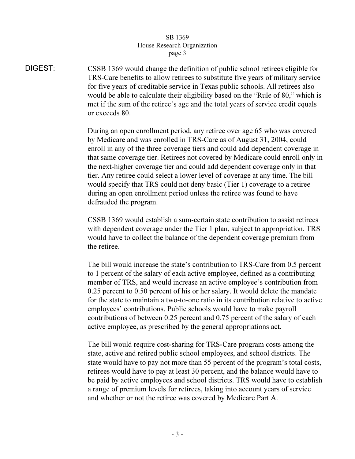## SB 1369 House Research Organization page 3  $\mathbf{r}$   $\mathbf{r}$   $\mathbf{s}$   $\mathbf{r}$   $\mathbf{s}$

DIGEST: CSSB 1369 would change the definition of public school retirees eligible for TRS-Care benefits to allow retirees to substitute five years of military service for five years of creditable service in Texas public schools. All retirees also would be able to calculate their eligibility based on the "Rule of 80," which is met if the sum of the retiree's age and the total years of service credit equals or exceeds 80.

> During an open enrollment period, any retiree over age 65 who was covered by Medicare and was enrolled in TRS-Care as of August 31, 2004, could enroll in any of the three coverage tiers and could add dependent coverage in that same coverage tier. Retirees not covered by Medicare could enroll only in the next-higher coverage tier and could add dependent coverage only in that tier. Any retiree could select a lower level of coverage at any time. The bill would specify that TRS could not deny basic (Tier 1) coverage to a retiree during an open enrollment period unless the retiree was found to have defrauded the program.

CSSB 1369 would establish a sum-certain state contribution to assist retirees with dependent coverage under the Tier 1 plan, subject to appropriation. TRS would have to collect the balance of the dependent coverage premium from the retiree.

The bill would increase the state's contribution to TRS-Care from 0.5 percent to 1 percent of the salary of each active employee, defined as a contributing member of TRS, and would increase an active employee's contribution from 0.25 percent to 0.50 percent of his or her salary. It would delete the mandate for the state to maintain a two-to-one ratio in its contribution relative to active employees' contributions. Public schools would have to make payroll contributions of between 0.25 percent and 0.75 percent of the salary of each active employee, as prescribed by the general appropriations act.

The bill would require cost-sharing for TRS-Care program costs among the state, active and retired public school employees, and school districts. The state would have to pay not more than 55 percent of the program's total costs, retirees would have to pay at least 30 percent, and the balance would have to be paid by active employees and school districts. TRS would have to establish a range of premium levels for retirees, taking into account years of service and whether or not the retiree was covered by Medicare Part A.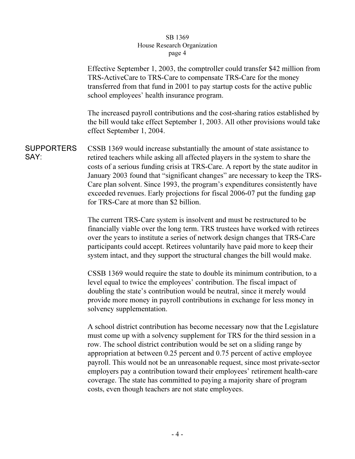## SB 1369 House Research Organization page 4  $\mathbf{r}^{\mu}$ ge  $\mathbf{r}$

Effective September 1, 2003, the comptroller could transfer \$42 million from TRS-ActiveCare to TRS-Care to compensate TRS-Care for the money transferred from that fund in 2001 to pay startup costs for the active public school employees' health insurance program.

The increased payroll contributions and the cost-sharing ratios established by the bill would take effect September 1, 2003. All other provisions would take effect September 1, 2004.

SUPPORTERS SAY: CSSB 1369 would increase substantially the amount of state assistance to retired teachers while asking all affected players in the system to share the costs of a serious funding crisis at TRS-Care. A report by the state auditor in January 2003 found that "significant changes" are necessary to keep the TRS-Care plan solvent. Since 1993, the program's expenditures consistently have exceeded revenues. Early projections for fiscal 2006-07 put the funding gap for TRS-Care at more than \$2 billion.

> The current TRS-Care system is insolvent and must be restructured to be financially viable over the long term. TRS trustees have worked with retirees over the years to institute a series of network design changes that TRS-Care participants could accept. Retirees voluntarily have paid more to keep their system intact, and they support the structural changes the bill would make.

> CSSB 1369 would require the state to double its minimum contribution, to a level equal to twice the employees' contribution. The fiscal impact of doubling the state's contribution would be neutral, since it merely would provide more money in payroll contributions in exchange for less money in solvency supplementation.

A school district contribution has become necessary now that the Legislature must come up with a solvency supplement for TRS for the third session in a row. The school district contribution would be set on a sliding range by appropriation at between 0.25 percent and 0.75 percent of active employee payroll. This would not be an unreasonable request, since most private-sector employers pay a contribution toward their employees' retirement health-care coverage. The state has committed to paying a majority share of program costs, even though teachers are not state employees.